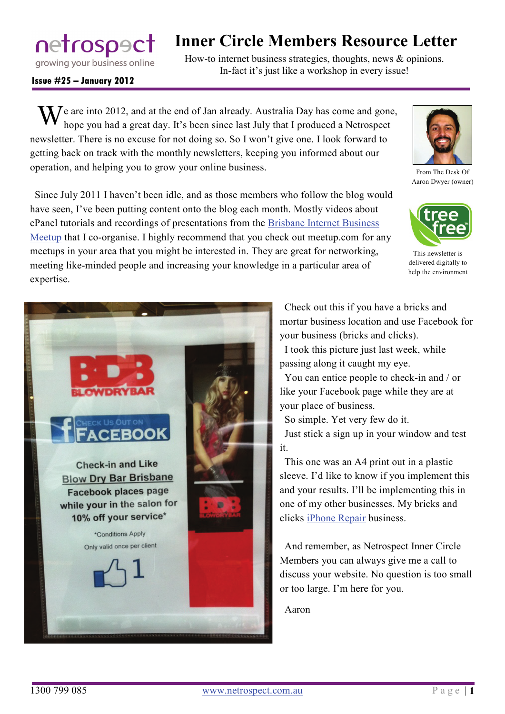# netrospect

growing your business online

## **Inner Circle Members Resource Letter**

How-to internet business strategies, thoughts, news & opinions. In-fact it's just like a workshop in every issue!

#### **Issue #25 – January 2012**

We are into 2012, and at the end of Jan already. Australia Day has come and gone, hope you had a great day. It's been since last July that I produced a Netrospect hope you had a great day. It's been since last July that I produced a Netrospect newsletter. There is no excuse for not doing so. So I won't give one. I look forward to getting back on track with the monthly newsletters, keeping you informed about our operation, and helping you to grow your online business.

Since July 2011 I haven't been idle, and as those members who follow the blog would have seen, I've been putting content onto the blog each month. Mostly videos about cPanel tutorials and recordings of presentations from the [Brisbane Internet Business](http://www.meetup.com/Brisbane-Internet-Business-Meetup/)  [Meetup](http://www.meetup.com/Brisbane-Internet-Business-Meetup/) that I co-organise. I highly recommend that you check out meetup.com for any meetups in your area that you might be interested in. They are great for networking, meeting like-minded people and increasing your knowledge in a particular area of expertise.

> Check out this if you have a bricks and mortar business location and use Facebook for your business (bricks and clicks).

I took this picture just last week, while passing along it caught my eye.

You can entice people to check-in and / or like your Facebook page while they are at your place of business.

So simple. Yet very few do it.

Just stick a sign up in your window and test it.

This one was an A4 print out in a plastic sleeve. I'd like to know if you implement this and your results. I'll be implementing this in one of my other businesses. My bricks and clicks [iPhone Repair](http://www.phonerepairdoctor.com.au/) business.

And remember, as Netrospect Inner Circle Members you can always give me a call to discuss your website. No question is too small or too large. I'm here for you.

Aaron



From The Desk Of

Aaron Dwyer (owner)

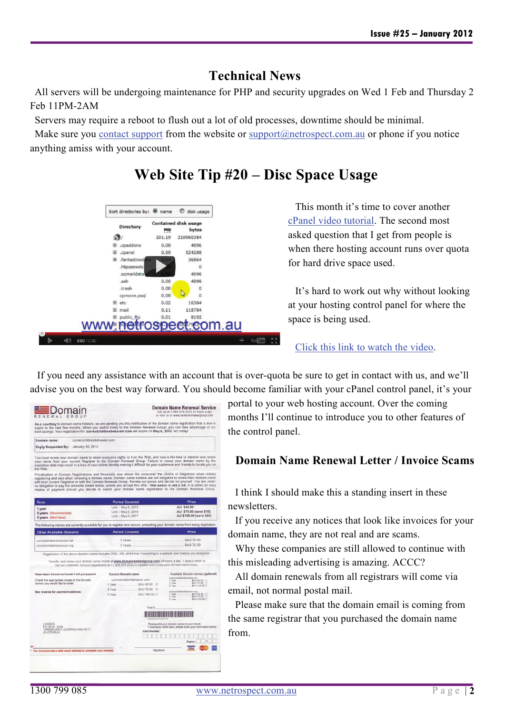#### **Technical News**

All servers will be undergoing maintenance for PHP and security upgrades on Wed 1 Feb and Thursday 2 Feb 11PM-2AM

Servers may require a reboot to flush out a lot of old processes, downtime should be minimal. Make sure you [contact support](https://netrospect.com.au/members/public/) from the website or [support@netrospect.com.au](mailto:support@netrospect.com.au) or phone if you notice anything amiss with your account.



### **Web Site Tip #20 – Disc Space Usage**

This month it's time to cover another cPanel [video tutorial.](http://netrospect.com.au/1035) The second most asked question that I get from people is when there hosting account runs over quota for hard drive space used.

It's hard to work out why without looking at your hosting control panel for where the space is being used.

[Click this link to watch the video.](http://netrospect.com.au/1035)

If you need any assistance with an account that is over-quota be sure to get in contact with us, and we'll advise you on the best way forward. You should become familiar with your cPanel control panel, it's your

|                                                                                                                                                                                                                                                                                                                                                                                                                                                                                                                                                                                                                        |                                                                                                                                                                                                                    | <b>Domain Name Renewal Service</b><br>Call us at 1-905-479-2533 24 hours a day<br>or visit us at www.domainrenewalgroup.com |
|------------------------------------------------------------------------------------------------------------------------------------------------------------------------------------------------------------------------------------------------------------------------------------------------------------------------------------------------------------------------------------------------------------------------------------------------------------------------------------------------------------------------------------------------------------------------------------------------------------------------|--------------------------------------------------------------------------------------------------------------------------------------------------------------------------------------------------------------------|-----------------------------------------------------------------------------------------------------------------------------|
| As a courtesy to domain name holders, we are sending you this notification of the domain name registration that is due to<br>expire in the next few months. When you switch today to the Domain Renewal Group, you can take advantage of our<br>best savings. Your registration for: correctchildrenbehavior.com will expire on May 6, 2012. Act today!                                                                                                                                                                                                                                                                |                                                                                                                                                                                                                    |                                                                                                                             |
| correctchildrenbehavior.com<br>Domain name:                                                                                                                                                                                                                                                                                                                                                                                                                                                                                                                                                                            |                                                                                                                                                                                                                    |                                                                                                                             |
| Reply Requested By: January 30, 2012                                                                                                                                                                                                                                                                                                                                                                                                                                                                                                                                                                                   |                                                                                                                                                                                                                    |                                                                                                                             |
| You must renew your domain name to retain exclusive rights to it on the Web, and now is the time to transfer and renew<br>your name from your current Registrar to the Domain Renewal Group. Failure to renew your domain name by the<br>expiration date may result in a loss of your online identity making it difficult for your customers and friends to locate you on<br>the Web.                                                                                                                                                                                                                                  |                                                                                                                                                                                                                    |                                                                                                                             |
| Privatization of Domain Registrations and Renewals now allows the consumer the choice of Registrars when initially<br>registering and also when renewing a domain name. Domain name holders are not obligated to renew their domain name<br>with their current Registrar or with the Domain Renewal Group. Review our prices and decide for yourself. You are under<br>no obligation to pay the amounts stated below, unless you accept this offer. This notice is not a bill, it is rather an easy<br>means of payment should you decide to switch your domain name registration to the Domain Renewal Group.<br>Term | <b>Period Covered</b>                                                                                                                                                                                              | Price                                                                                                                       |
|                                                                                                                                                                                                                                                                                                                                                                                                                                                                                                                                                                                                                        | Until -- May 6, 2013                                                                                                                                                                                               | AU \$45.00                                                                                                                  |
| 1 year<br>2 years (Recommended)                                                                                                                                                                                                                                                                                                                                                                                                                                                                                                                                                                                        | Until -- May 6, 2014                                                                                                                                                                                               | AU \$75.00 (save \$15)                                                                                                      |
| 5 years (Best Value)                                                                                                                                                                                                                                                                                                                                                                                                                                                                                                                                                                                                   | Until -- May 6, 2017                                                                                                                                                                                               | AU \$145.00 (save \$80)                                                                                                     |
| The following names are currently available for you to register and secure, protecting your domain name from being duplicated.                                                                                                                                                                                                                                                                                                                                                                                                                                                                                         |                                                                                                                                                                                                                    |                                                                                                                             |
| <b>Other Available Domains</b>                                                                                                                                                                                                                                                                                                                                                                                                                                                                                                                                                                                         | <b>Period Covered</b>                                                                                                                                                                                              | Price                                                                                                                       |
| correctchildrenbehavior.net                                                                                                                                                                                                                                                                                                                                                                                                                                                                                                                                                                                            |                                                                                                                                                                                                                    | <b>SAU 75.00</b>                                                                                                            |
| correctchildrenbehavior.org                                                                                                                                                                                                                                                                                                                                                                                                                                                                                                                                                                                            |                                                                                                                                                                                                                    |                                                                                                                             |
|                                                                                                                                                                                                                                                                                                                                                                                                                                                                                                                                                                                                                        | Registration of the above domain names includes DNS, URL and Email Forwarding to a website and mailbox you designate                                                                                               |                                                                                                                             |
|                                                                                                                                                                                                                                                                                                                                                                                                                                                                                                                                                                                                                        | Transfer and renew your domain name online at www.domainrenewalgroup.com 24 hours a day, 7 days a week or<br>call our Customer Service Department at +1 905 479 2533 to transfer and renew your domain name today. |                                                                                                                             |
| Please detach this stub and include it with your payment.                                                                                                                                                                                                                                                                                                                                                                                                                                                                                                                                                              | <b>Current Domain name</b>                                                                                                                                                                                         | Available Domain names (optional)                                                                                           |
| Check the appropriate boxes of the Domain<br>names you would like to order.                                                                                                                                                                                                                                                                                                                                                                                                                                                                                                                                            | correctchildrenbehavior.com                                                                                                                                                                                        | correctchildrenbehavior.net<br>1 Year \$AU 45.00 []                                                                         |
|                                                                                                                                                                                                                                                                                                                                                                                                                                                                                                                                                                                                                        | SAU 45.00 0<br>1 Year                                                                                                                                                                                              | \$AU 75.00 \$<br>2 Year.<br>5 Year<br>\$AU 145,00 E                                                                         |
| See reverse for payment address:                                                                                                                                                                                                                                                                                                                                                                                                                                                                                                                                                                                       | 2 Year<br>SAU 75.00 0                                                                                                                                                                                              | correctchildrenbehavior.org                                                                                                 |
|                                                                                                                                                                                                                                                                                                                                                                                                                                                                                                                                                                                                                        | SAU 145.00 0<br>5 Year                                                                                                                                                                                             | \$AU 45.00 ED<br>1.Year<br>\$AU 75.00<br>2 Year<br>\$AU 145,00<br>5 Year                                                    |
|                                                                                                                                                                                                                                                                                                                                                                                                                                                                                                                                                                                                                        |                                                                                                                                                                                                                    |                                                                                                                             |
|                                                                                                                                                                                                                                                                                                                                                                                                                                                                                                                                                                                                                        |                                                                                                                                                                                                                    |                                                                                                                             |
|                                                                                                                                                                                                                                                                                                                                                                                                                                                                                                                                                                                                                        | Total \$                                                                                                                                                                                                           |                                                                                                                             |
|                                                                                                                                                                                                                                                                                                                                                                                                                                                                                                                                                                                                                        |                                                                                                                                                                                                                    |                                                                                                                             |
| 420625)<br>PO BOX 3058<br>TARRAGINDI QUEENSLAND 4121                                                                                                                                                                                                                                                                                                                                                                                                                                                                                                                                                                   |                                                                                                                                                                                                                    | Please print your domain name on your check.                                                                                |
| <b>AUSTRALIA</b>                                                                                                                                                                                                                                                                                                                                                                                                                                                                                                                                                                                                       | Card Number:                                                                                                                                                                                                       |                                                                                                                             |
|                                                                                                                                                                                                                                                                                                                                                                                                                                                                                                                                                                                                                        |                                                                                                                                                                                                                    | If paying by credit card, please enter your information below:<br>Expiry:<br><b>VISA</b>                                    |

portal to your web hosting account. Over the coming months I'll continue to introduce you to other features of the control panel.

#### **Domain Name Renewal Letter / Invoice Scams**

I think I should make this a standing insert in these newsletters.

If you receive any notices that look like invoices for your domain name, they are not real and are scams.

Why these companies are still allowed to continue with this misleading advertising is amazing. ACCC?

All domain renewals from all registrars will come via email, not normal postal mail.

Please make sure that the domain email is coming from the same registrar that you purchased the domain name from.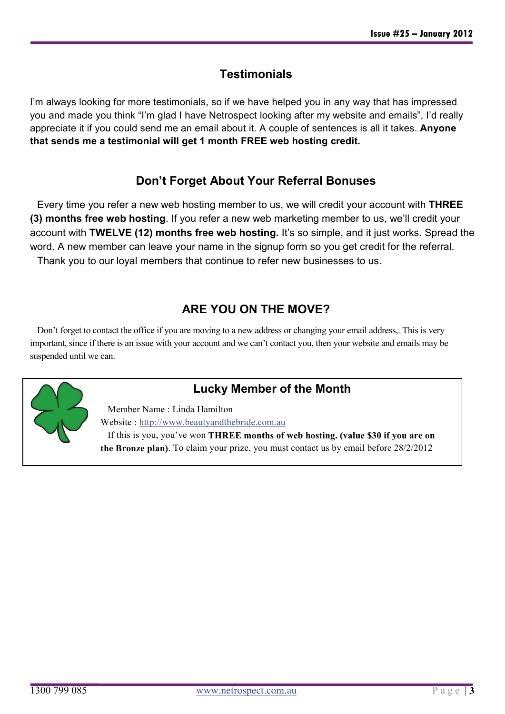#### **Testimonials**

I'm always looking for more testimonials, so if we have helped you in any way that has impressed you and made you think "I'm glad I have Netrospect looking after my website and emails", I'd really appreciate it if you could send me an email about it. A couple of sentences is all it takes. **Anyone that sends me a testimonial will get 1 month FREE web hosting credit.**

#### **Don't Forget About Your Referral Bonuses**

Every time you refer a new web hosting member to us, we will credit your account with **THREE (3) months free web hosting**. If you refer a new web marketing member to us, we'll credit your account with **TWELVE (12) months free web hosting.** It's so simple, and it just works. Spread the word. A new member can leave your name in the signup form so you get credit for the referral. Thank you to our loyal members that continue to refer new businesses to us.

#### **ARE YOU ON THE MOVE?**

Don't forget to contact the office if you are moving to a new address or changing your email address,. This is very important, since if there is an issue with your account and we can't contact you, then your website and emails may be suspended until we can.



#### **Lucky Member of the Month**

Member Name : Linda Hamilton Website : [http://www.beautyandthebride.com.au](http://www.beautyandthebride.com.au/)

If this is you, you've won **THREE months of web hosting. (value \$30 if you are on the Bronze plan)**. To claim your prize, you must contact us by email before 28/2/2012